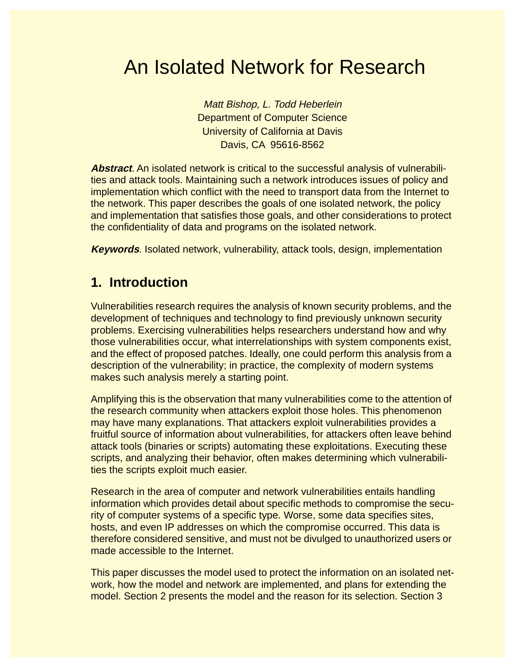# An Isolated Network for Research

Matt Bishop, L. Todd Heberlein Department of Computer Science University of California at Davis Davis, CA 95616-8562

**Abstract**. An isolated network is critical to the successful analysis of vulnerabilities and attack tools. Maintaining such a network introduces issues of policy and implementation which conflict with the need to transport data from the Internet to the network. This paper describes the goals of one isolated network, the policy and implementation that satisfies those goals, and other considerations to protect the confidentiality of data and programs on the isolated network.

**Keywords**. Isolated network, vulnerability, attack tools, design, implementation

# **1. Introduction**

Vulnerabilities research requires the analysis of known security problems, and the development of techniques and technology to find previously unknown security problems. Exercising vulnerabilities helps researchers understand how and why those vulnerabilities occur, what interrelationships with system components exist, and the effect of proposed patches. Ideally, one could perform this analysis from a description of the vulnerability; in practice, the complexity of modern systems makes such analysis merely a starting point.

Amplifying this is the observation that many vulnerabilities come to the attention of the research community when attackers exploit those holes. This phenomenon may have many explanations. That attackers exploit vulnerabilities provides a fruitful source of information about vulnerabilities, for attackers often leave behind attack tools (binaries or scripts) automating these exploitations. Executing these scripts, and analyzing their behavior, often makes determining which vulnerabilities the scripts exploit much easier.

Research in the area of computer and network vulnerabilities entails handling information which provides detail about specific methods to compromise the security of computer systems of a specific type. Worse, some data specifies sites, hosts, and even IP addresses on which the compromise occurred. This data is therefore considered sensitive, and must not be divulged to unauthorized users or made accessible to the Internet.

This paper discusses the model used to protect the information on an isolated network, how the model and network are implemented, and plans for extending the model. Section 2 presents the model and the reason for its selection. Section 3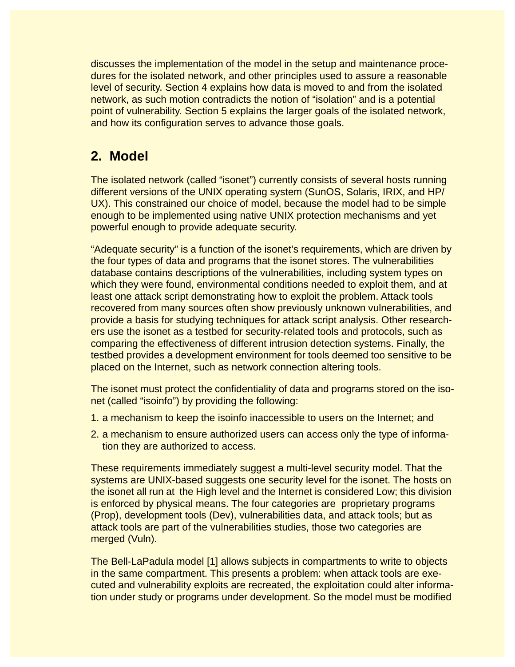discusses the implementation of the model in the setup and maintenance procedures for the isolated network, and other principles used to assure a reasonable level of security. Section 4 explains how data is moved to and from the isolated network, as such motion contradicts the notion of "isolation" and is a potential point of vulnerability. Section 5 explains the larger goals of the isolated network, and how its configuration serves to advance those goals.

# **2. Model**

The isolated network (called "isonet") currently consists of several hosts running different versions of the UNIX operating system (SunOS, Solaris, IRIX, and HP/ UX). This constrained our choice of model, because the model had to be simple enough to be implemented using native UNIX protection mechanisms and yet powerful enough to provide adequate security.

"Adequate security" is a function of the isonet's requirements, which are driven by the four types of data and programs that the isonet stores. The vulnerabilities database contains descriptions of the vulnerabilities, including system types on which they were found, environmental conditions needed to exploit them, and at least one attack script demonstrating how to exploit the problem. Attack tools recovered from many sources often show previously unknown vulnerabilities, and provide a basis for studying techniques for attack script analysis. Other researchers use the isonet as a testbed for security-related tools and protocols, such as comparing the effectiveness of different intrusion detection systems. Finally, the testbed provides a development environment for tools deemed too sensitive to be placed on the Internet, such as network connection altering tools.

The isonet must protect the confidentiality of data and programs stored on the isonet (called "isoinfo") by providing the following:

- 1. a mechanism to keep the isoinfo inaccessible to users on the Internet; and
- 2. a mechanism to ensure authorized users can access only the type of information they are authorized to access.

These requirements immediately suggest a multi-level security model. That the systems are UNIX-based suggests one security level for the isonet. The hosts on the isonet all run at the High level and the Internet is considered Low; this division is enforced by physical means. The four categories are proprietary programs (Prop), development tools (Dev), vulnerabilities data, and attack tools; but as attack tools are part of the vulnerabilities studies, those two categories are merged (Vuln).

The Bell-LaPadula model [\[1\]](#page-8-0) allows subjects in compartments to write to objects in the same compartment. This presents a problem: when attack tools are executed and vulnerability exploits are recreated, the exploitation could alter information under study or programs under development. So the model must be modified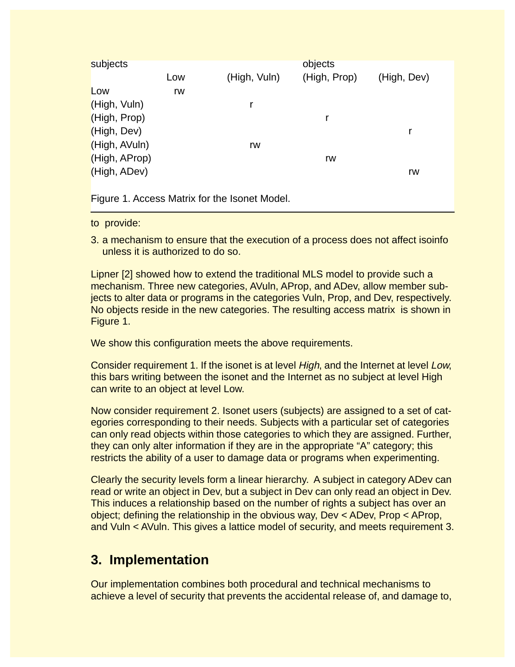| subjects                                      |     |              | objects      |             |
|-----------------------------------------------|-----|--------------|--------------|-------------|
|                                               | Low | (High, Vuln) | (High, Prop) | (High, Dev) |
| Low                                           | rw  |              |              |             |
| (High, Vuln)                                  |     |              |              |             |
| (High, Prop)                                  |     |              | r            |             |
| (High, Dev)                                   |     |              |              |             |
| (High, AVuln)                                 |     | rw           |              |             |
| (High, AProp)                                 |     |              | rw           |             |
| (High, ADev)                                  |     |              |              | rw          |
|                                               |     |              |              |             |
| Figure 1. Access Matrix for the Isonet Model. |     |              |              |             |

to provide:

3. a mechanism to ensure that the execution of a process does not affect isoinfo unless it is authorized to do so.

Lipner [\[2\]](#page-8-0) showed how to extend the traditional MLS model to provide such a mechanism. Three new categories, AVuln, AProp, and ADev, allow member subjects to alter data or programs in the categories Vuln, Prop, and Dev, respectively. No objects reside in the new categories. The resulting access matrix is shown in Figure 1.

We show this configuration meets the above requirements.

Consider requirement 1. If the isonet is at level High, and the Internet at level Low, this bars writing between the isonet and the Internet as no subject at level High can write to an object at level Low.

Now consider requirement 2. Isonet users (subjects) are assigned to a set of categories corresponding to their needs. Subjects with a particular set of categories can only read objects within those categories to which they are assigned. Further, they can only alter information if they are in the appropriate "A" category; this restricts the ability of a user to damage data or programs when experimenting.

Clearly the security levels form a linear hierarchy. A subject in category ADev can read or write an object in Dev, but a subject in Dev can only read an object in Dev. This induces a relationship based on the number of rights a subject has over an object; defining the relationship in the obvious way, Dev < ADev, Prop < AProp, and Vuln < AVuln. This gives a lattice model of security, and meets requirement 3.

# **3. Implementation**

Our implementation combines both procedural and technical mechanisms to achieve a level of security that prevents the accidental release of, and damage to,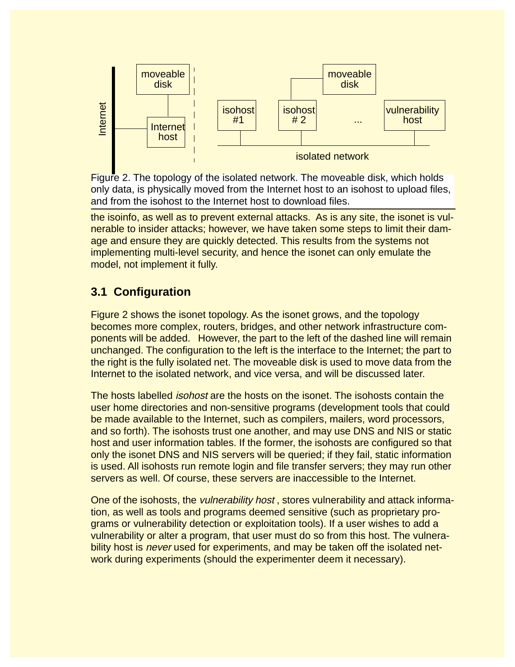

Figure 2. The topology of the isolated network. The moveable disk, which holds only data, is physically moved from the Internet host to an isohost to upload files, and from the isohost to the Internet host to download files.

the isoinfo, as well as to prevent external attacks. As is any site, the isonet is vulnerable to insider attacks; however, we have taken some steps to limit their damage and ensure they are quickly detected. This results from the systems not implementing multi-level security, and hence the isonet can only emulate the model, not implement it fully.

## **3.1 Configuration**

Figure 2 shows the isonet topology. As the isonet grows, and the topology becomes more complex, routers, bridges, and other network infrastructure components will be added. However, the part to the left of the dashed line will remain unchanged. The configuration to the left is the interface to the Internet; the part to the right is the fully isolated net. The moveable disk is used to move data from the Internet to the isolated network, and vice versa, and will be discussed later.

The hosts labelled isohost are the hosts on the isonet. The isohosts contain the user home directories and non-sensitive programs (development tools that could be made available to the Internet, such as compilers, mailers, word processors, and so forth). The isohosts trust one another, and may use DNS and NIS or static host and user information tables. If the former, the isohosts are configured so that only the isonet DNS and NIS servers will be queried; if they fail, static information is used. All isohosts run remote login and file transfer servers; they may run other servers as well. Of course, these servers are inaccessible to the Internet. Work during the method is the stocked to the is the consistent of the isotated network<br>
Figure 2. The topology of the isolated network. The moveable disk, whi<br>
and from the isolated network to the Internet hast to download

One of the isohosts, the vulnerability host , stores vulnerability and attack information, as well as tools and programs deemed sensitive (such as proprietary programs or vulnerability detection or exploitation tools). If a user wishes to add a vulnerability or alter a program, that user must do so from this host. The vulnerability host is *never* used for experiments, and may be taken off the isolated net-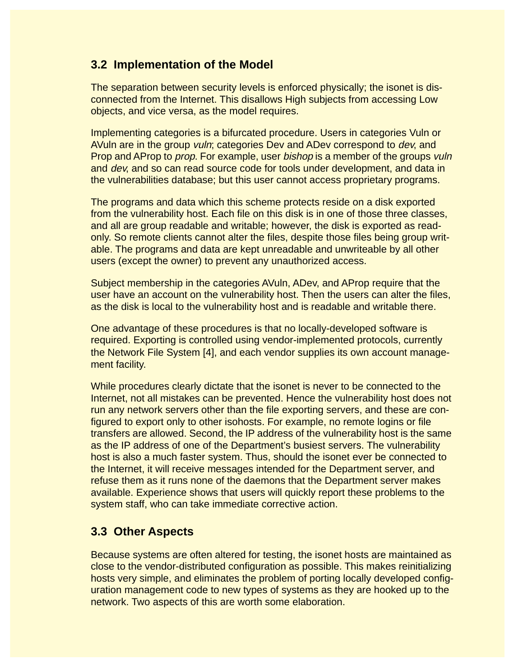#### **3.2 Implementation of the Model**

The separation between security levels is enforced physically; the isonet is disconnected from the Internet. This disallows High subjects from accessing Low objects, and vice versa, as the model requires.

Implementing categories is a bifurcated procedure. Users in categories Vuln or AVuln are in the group vuln; categories Dev and ADev correspond to dev, and Prop and AProp to *prop.* For example, user *bishop* is a member of the groups *vuln* and dev, and so can read source code for tools under development, and data in the vulnerabilities database; but this user cannot access proprietary programs.

The programs and data which this scheme protects reside on a disk exported from the vulnerability host. Each file on this disk is in one of those three classes, and all are group readable and writable; however, the disk is exported as readonly. So remote clients cannot alter the files, despite those files being group writable. The programs and data are kept unreadable and unwriteable by all other users (except the owner) to prevent any unauthorized access.

Subject membership in the categories AVuln, ADev, and AProp require that the user have an account on the vulnerability host. Then the users can alter the files, as the disk is local to the vulnerability host and is readable and writable there.

One advantage of these procedures is that no locally-developed software is required. Exporting is controlled using vendor-implemented protocols, currently the Network File System [\[4\],](#page-8-0) and each vendor supplies its own account management facility.

While procedures clearly dictate that the isonet is never to be connected to the Internet, not all mistakes can be prevented. Hence the vulnerability host does not run any network servers other than the file exporting servers, and these are configured to export only to other isohosts. For example, no remote logins or file transfers are allowed. Second, the IP address of the vulnerability host is the same as the IP address of one of the Department's busiest servers. The vulnerability host is also a much faster system. Thus, should the isonet ever be connected to the Internet, it will receive messages intended for the Department server, and refuse them as it runs none of the daemons that the Department server makes available. Experience shows that users will quickly report these problems to the system staff, who can take immediate corrective action.

#### **3.3 Other Aspects**

Because systems are often altered for testing, the isonet hosts are maintained as close to the vendor-distributed configuration as possible. This makes reinitializing hosts very simple, and eliminates the problem of porting locally developed configuration management code to new types of systems as they are hooked up to the network. Two aspects of this are worth some elaboration.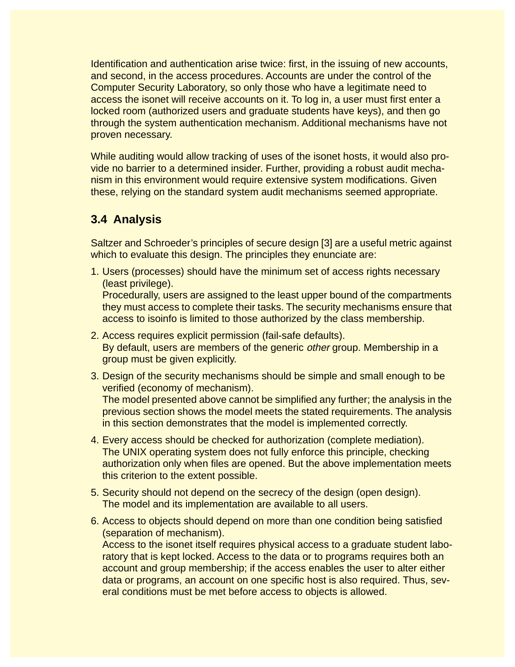Identification and authentication arise twice: first, in the issuing of new accounts, and second, in the access procedures. Accounts are under the control of the Computer Security Laboratory, so only those who have a legitimate need to access the isonet will receive accounts on it. To log in, a user must first enter a locked room (authorized users and graduate students have keys), and then go through the system authentication mechanism. Additional mechanisms have not proven necessary.

While auditing would allow tracking of uses of the isonet hosts, it would also provide no barrier to a determined insider. Further, providing a robust audit mechanism in this environment would require extensive system modifications. Given these, relying on the standard system audit mechanisms seemed appropriate.

## **3.4 Analysis**

Saltzer and Schroeder's principles of secure design [\[3\]](#page-8-0) are a useful metric against which to evaluate this design. The principles they enunciate are:

1. Users (processes) should have the minimum set of access rights necessary (least privilege).

Procedurally, users are assigned to the least upper bound of the compartments they must access to complete their tasks. The security mechanisms ensure that access to isoinfo is limited to those authorized by the class membership.

- 2. Access requires explicit permission (fail-safe defaults). By default, users are members of the generic *other* group. Membership in a group must be given explicitly.
- 3. Design of the security mechanisms should be simple and small enough to be verified (economy of mechanism). The model presented above cannot be simplified any further; the analysis in the

previous section shows the model meets the stated requirements. The analysis in this section demonstrates that the model is implemented correctly.

- 4. Every access should be checked for authorization (complete mediation). The UNIX operating system does not fully enforce this principle, checking authorization only when files are opened. But the above implementation meets this criterion to the extent possible.
- 5. Security should not depend on the secrecy of the design (open design). The model and its implementation are available to all users.
- 6. Access to objects should depend on more than one condition being satisfied (separation of mechanism). Access to the isonet itself requires physical access to a graduate student laboratory that is kept locked. Access to the data or to programs requires both an account and group membership; if the access enables the user to alter either data or programs, an account on one specific host is also required. Thus, several conditions must be met before access to objects is allowed.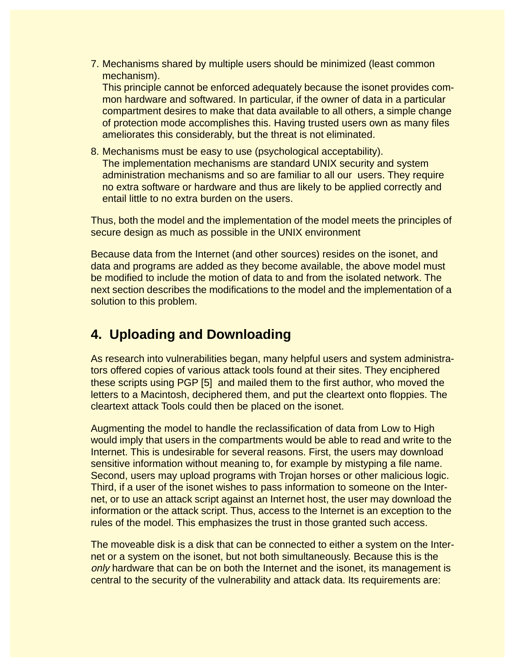7. Mechanisms shared by multiple users should be minimized (least common mechanism).

This principle cannot be enforced adequately because the isonet provides common hardware and softwared. In particular, if the owner of data in a particular compartment desires to make that data available to all others, a simple change of protection mode accomplishes this. Having trusted users own as many files ameliorates this considerably, but the threat is not eliminated.

8. Mechanisms must be easy to use (psychological acceptability). The implementation mechanisms are standard UNIX security and system administration mechanisms and so are familiar to all our users. They require no extra software or hardware and thus are likely to be applied correctly and entail little to no extra burden on the users.

Thus, both the model and the implementation of the model meets the principles of secure design as much as possible in the UNIX environment

Because data from the Internet (and other sources) resides on the isonet, and data and programs are added as they become available, the above model must be modified to include the motion of data to and from the isolated network. The next section describes the modifications to the model and the implementation of a solution to this problem.

# **4. Uploading and Downloading**

As research into vulnerabilities began, many helpful users and system administrators offered copies of various attack tools found at their sites. They enciphered these scripts using PGP [\[5\]](#page-8-0) and mailed them to the first author, who moved the letters to a Macintosh, deciphered them, and put the cleartext onto floppies. The cleartext attack Tools could then be placed on the isonet.

Augmenting the model to handle the reclassification of data from Low to High would imply that users in the compartments would be able to read and write to the Internet. This is undesirable for several reasons. First, the users may download sensitive information without meaning to, for example by mistyping a file name. Second, users may upload programs with Trojan horses or other malicious logic. Third, if a user of the isonet wishes to pass information to someone on the Internet, or to use an attack script against an Internet host, the user may download the information or the attack script. Thus, access to the Internet is an exception to the rules of the model. This emphasizes the trust in those granted such access.

The moveable disk is a disk that can be connected to either a system on the Internet or a system on the isonet, but not both simultaneously. Because this is the only hardware that can be on both the Internet and the isonet, its management is central to the security of the vulnerability and attack data. Its requirements are: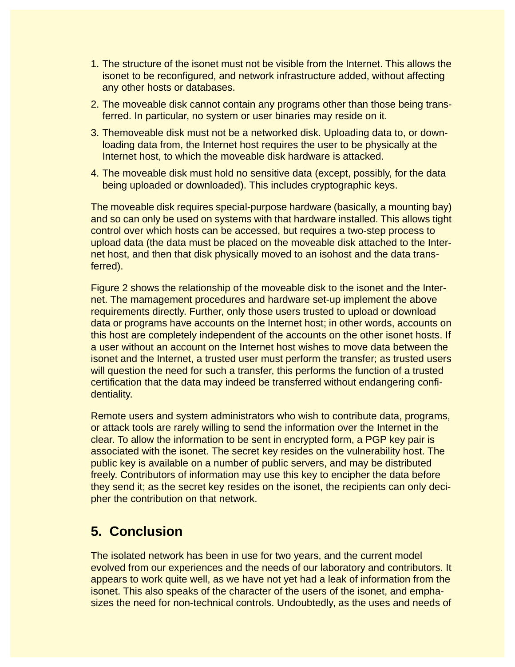- 1. The structure of the isonet must not be visible from the Internet. This allows the isonet to be reconfigured, and network infrastructure added, without affecting any other hosts or databases.
- 2. The moveable disk cannot contain any programs other than those being transferred. In particular, no system or user binaries may reside on it.
- 3. Themoveable disk must not be a networked disk. Uploading data to, or downloading data from, the Internet host requires the user to be physically at the Internet host, to which the moveable disk hardware is attacked.
- 4. The moveable disk must hold no sensitive data (except, possibly, for the data being uploaded or downloaded). This includes cryptographic keys.

The moveable disk requires special-purpose hardware (basically, a mounting bay) and so can only be used on systems with that hardware installed. This allows tight control over which hosts can be accessed, but requires a two-step process to upload data (the data must be placed on the moveable disk attached to the Internet host, and then that disk physically moved to an isohost and the data transferred).

Figure 2 shows the relationship of the moveable disk to the isonet and the Internet. The mamagement procedures and hardware set-up implement the above requirements directly. Further, only those users trusted to upload or download data or programs have accounts on the Internet host; in other words, accounts on this host are completely independent of the accounts on the other isonet hosts. If a user without an account on the Internet host wishes to move data between the isonet and the Internet, a trusted user must perform the transfer; as trusted users will question the need for such a transfer, this performs the function of a trusted certification that the data may indeed be transferred without endangering confidentiality.

Remote users and system administrators who wish to contribute data, programs, or attack tools are rarely willing to send the information over the Internet in the clear. To allow the information to be sent in encrypted form, a PGP key pair is associated with the isonet. The secret key resides on the vulnerability host. The public key is available on a number of public servers, and may be distributed freely. Contributors of information may use this key to encipher the data before they send it; as the secret key resides on the isonet, the recipients can only decipher the contribution on that network.

# **5. Conclusion**

The isolated network has been in use for two years, and the current model evolved from our experiences and the needs of our laboratory and contributors. It appears to work quite well, as we have not yet had a leak of information from the isonet. This also speaks of the character of the users of the isonet, and emphasizes the need for non-technical controls. Undoubtedly, as the uses and needs of